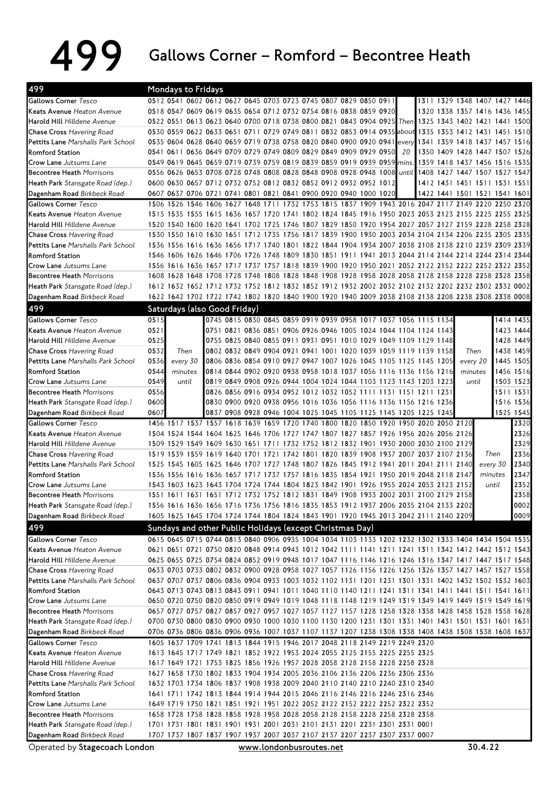## 499 Gallows Corner – Romford – Becontree Heath

| Gallows Corner Tesco<br>0512 0541 0602 0612 0627 0645 0703 0723 0745 0807 0829 0850 0911<br>1311 1329 1348 1407 1427 1446<br>Keats Avenue Heaton Avenue<br>0518 0547 0609 0619 0635 0654 0712 0732 0754 0816 0838 0859 0920<br><b> Harold Hill</b> <i>Hilldene Avenue</i><br>0530 0559 0622 0633 0651 0711 0729 0749 0811 0832 0853 0914 0935 about<br><b>Chase Cross Havering Road</b><br>Pettits Lane Marshalls Park School<br>0535 0604 0628 0640 0659 0719 0738 0758 0820 0840 0900 0920 0941 every<br>Romford Station<br>0541 0611 0636 0649 0709 0729 0749 0809 0829 0849 0909 0929 0950<br>20<br>0549 0619 0645 0659 0719 0739 0759 0819 0839 0859 0919 0939 0959 mins.<br>1359 1418 1437 1456 1516 1535<br><b>Crow Lane</b> Jutsums Lane<br><b>Becontree Heath Morrisons</b><br>0556 0626 0653 0708 0728 0748 0808 0828 0848 0908 0928 0948 1008 until<br>1408 1427 1447 1507 1527 1547<br>0600 0630 0657 0712 0732 0752 0812 0832 0852 0912 0932 0952 1012<br>1412 1431 1451 1511 1531 1551<br>Heath Park Stansgate Road (dep.)<br>0607 0637 0706 0721 0741 0801 0821 0841 0900 0920 0940 1000 1020<br>Dagenham Road Birkbeck Road<br>1422 1441 1501 1521 1541 1601<br>1506 1526 1546 1606 1627 1648 1711 1732 1753 1815 1837 1909 1943 2016 2047 2117 2149 2220 2250 2320<br>Gallows Corner Tesco<br>1515 1535 1555 1615 1636 1657 1720 1741 1802 1824 1845 1916 1950 2023 2053 2123 2155 2225 2255 2325<br>Keats Avenue Heaton Avenue<br><b> Harold Hill</b> <i>Hilldene Avenue</i><br>Chase Cross Havering Road<br>1530 1550 1610 1630 1651 1712 1735 1756 1817 1839 1900 1930 2003 2034 2104 2134 2206 2235 2305 2335<br>1536 1556 1616 1636 1656 1717 1740 1801 1822 1844 1904 1934 2007 2038 2108 2138 2210 2239 2309 2339<br>Pettits Lane Marshalls Park School<br><b>Romford Station</b><br>Crow Lane Jutsums Lane<br><b>Becontree Heath Morrisons</b><br>Heath Park Stansgate Road (dep.)<br>Dagenham Road Birkbeck Road<br>499<br>Saturdays (also Good Friday)<br>Gallows Corner Tesco<br>0515<br>0745 0815 0830 0845 0859 0919 0939 0958 1017 1037 1056 1115 1134<br>Keats Avenue Heaton Avenue<br>0521<br>0751 0821 0836 0851 0906 0926 0946 1005 1024 1044 1104 1124 1143<br>1423 1444<br>0525<br>Harold Hill Hilldene Avenue<br>0755 0825 0840 0855 0911 0931 0951 1010 1029 1049 1109 1129 1148<br>1428 1449<br>0532<br>Then<br>0802 0832 0849 0904 0921 0941 1001 1020 1039 1059 1119 1139 1158<br>Then<br>Chase Cross Havering Road<br>0536<br><b>Pettits Lane</b> Marshalls Park School<br>every 30<br>0806 0836 0854 0910 0927 0947 1007 1026 1045 1105 1125 1145 1205<br>every 20<br>0544<br>0814 0844 0902 0920 0938 0958 1018 1037 1056 1116 1136 1156 1216<br><b>Romford Station</b><br>minutes<br>minutes<br>0549<br>until<br>0819 0849 0908 0926 0944 1004 1024 1044 1103 1123 1143 1203 1223<br>until<br><b>Crow Lane</b> Jutsums Lane<br>0556<br><b>Becontree Heath Morrisons</b><br>1511 1531<br>0826 0856 0916 0934 0952 1012 1032 1052 1111 1131 1151 1211 1231<br>0600<br>0830 0900 0920 0938 0956 1016 1036 1056 1116 1136 1156 1216 1236<br>Heath Park Stansgate Road (dep.)<br>0607<br>0837 0908 0928 0946 1004 1025 1045 1105 1125 1145 1205 1225 1245<br>Dagenham Road Birkbeck Road<br>Gallows Corner Tesco<br>1456 1517 1537 1557 1618 1639 1659 1720 1740 1800 1820 1850 1920 1950 2020 2050 2120<br>Keats Avenue Heaton Avenue<br>1504 1524 1544 1604 1625 1646 1706 1727 1747 1807 1827 1857 1926 1956 2026 2056 2126<br>2329<br>Harold Hill Hilldene Avenue<br>1509 1529 1549 1609 1630 1651 1711 1732 1752 1812 1832 1901 1930 2000 2030 2100 2129<br>2336<br>Chase Cross Havering Road<br>1519 1539 1559 1619 1640 1701 1721 1742 1801 1820 1839 1908 1937 2007 2037 2107 2136<br>Then<br><b>Pettits Lane</b> Marshalls Park School<br>1525 1545 1605 1625 1646 1707 1727 1748 1807 1826 1845 1912 1941 2011 2041 2111 2140<br>every 30<br>1536 1556 1616 1636 1657 1717 1737 1757 1816 1835 1854 1921 1950 2019 2048 2118 2147<br>minutes<br>Romford Station<br>2352<br><b>Crow Lane</b> Jutsums Lane<br>1543 1603 1623 1643 1704 1724 1744 1804 1823 1842 1901 1926 1955 2024 2053 2123 2152<br>until<br>1551 1611 1631 1651 1712 1732 1752 1812 1831 1849 1908 1933 2002 2031 2100 2129 2158<br><b>Becontree Heath Morrisons</b><br>Heath Park Stansgate Road (dep.)<br>1556 1616 1636 1656 1716 1736 1756 1816 1835 1853 1912 1937 2006 2035 2104 2133 2202<br>1605 1625 1645 1704 1724 1744 1804 1824 1843 1901 1920 1945 2013 2042 2111 2140 2209<br>Dagenham Road Birkbeck Road<br>499<br>Sundays and other Public Holidays (except Christmas Day)<br>Gallows Corner Tesco<br>Keats Avenue Heaton Avenue<br>Harold Hill Hilldene Avenue<br>Chase Cross Havering Road<br>Pettits Lane Marshalls Park School<br><b>Romford Station</b><br>Crow Lane Jutsums Lane<br><b>Becontree Heath Morrisons</b><br>Heath Park Stansgate Road (dep.)<br>Dagenham Road Birkbeck Road<br>1605 1637 1709 1741 1813 1844 1915 1946 2017 2048 2118 2149 2219 2249 2320<br>Gallows Corner Tesco<br>Keats Avenue Heaton Avenue<br>1613 1645 1717 1749 1821 1852 1922 1953 2024 2055 2125 2155 2225 2255 2325<br>Harold Hill Hilldene Avenue<br>1617 1649 1721 1753 1825 1856 1926 1957 2028 2058 2128 2158 2228 2258 2328<br>Chase Cross Havering Road<br>1627 1658 1730 1802 1833 1904 1934 2005 2036 2106 2136 2206 2236 2306 2336<br>Pettits Lane Marshalls Park School<br>1632 1703 1734 1806 1837 1908 1938 2009 2040 2110 2140 2210 2240 2310 2340<br>1641 1711 1742 1813 1844 1914 1944 2015 2046 2116 2146 2216 2246 2316 2346<br>Romford Station<br>1649 1719 1750 1821 1851 1921 1951 2022 2052 2122 2152 2222 2252 2322 2352<br><b>Crow Lane</b> Jutsums Lane<br><b>Becontree Heath Morrisons</b><br>1658 1728 1758 1828 1858 1928 1958 2028 2058 2128 2158 2228 2258 2328 2358<br>Heath Park Stansgate Road (dep.)<br>1701 1731 1801 1831 1901 1931 2001 2031 2101 2131 2201 2231 2301 2331 0001<br>Dagenham Road Birkbeck Road<br>1707 1737 1807 1837 1907 1937 2007 2037 2107 2137 2207 2237 2307 2337 0007<br>30.4.22<br>Operated by Stagecoach London<br>www.londonbusroutes.net | 499 | Mondays to Fridays |  |  |  |  |  |  |  |  |  |
|-----------------------------------------------------------------------------------------------------------------------------------------------------------------------------------------------------------------------------------------------------------------------------------------------------------------------------------------------------------------------------------------------------------------------------------------------------------------------------------------------------------------------------------------------------------------------------------------------------------------------------------------------------------------------------------------------------------------------------------------------------------------------------------------------------------------------------------------------------------------------------------------------------------------------------------------------------------------------------------------------------------------------------------------------------------------------------------------------------------------------------------------------------------------------------------------------------------------------------------------------------------------------------------------------------------------------------------------------------------------------------------------------------------------------------------------------------------------------------------------------------------------------------------------------------------------------------------------------------------------------------------------------------------------------------------------------------------------------------------------------------------------------------------------------------------------------------------------------------------------------------------------------------------------------------------------------------------------------------------------------------------------------------------------------------------------------------------------------------------------------------------------------------------------------------------------------------------------------------------------------------------------------------------------------------------------------------------------------------------------------------------------------------------------------------------------------------------------------------------------------------------------------------------------------------------------------------------------------------------------------------------------------------------------------------------------------------------------------------------------------------------------------------------------------------------------------------------------------------------------------------------------------------------------------------------------------------------------------------------------------------------------------------------------------------------------------------------------------------------------------------------------------------------------------------------------------------------------------------------------------------------------------------------------------------------------------------------------------------------------------------------------------------------------------------------------------------------------------------------------------------------------------------------------------------------------------------------------------------------------------------------------------------------------------------------------------------------------------------------------------------------------------------------------------------------------------------------------------------------------------------------------------------------------------------------------------------------------------------------------------------------------------------------------------------------------------------------------------------------------------------------------------------------------------------------------------------------------------------------------------------------------------------------------------------------------------------------------------------------------------------------------------------------------------------------------------------------------------------------------------------------------------------------------------------------------------------------------------------------------------------------------------------------------------------------------------------------------------------------------------------------------------------------------------------------------------------------------------------------------------------------------------------------------------------------------------------------------------------------------------------------------------------------------------------------------------------------------------------------------------------------------------------------------------------------------------------------------------------------------------------------------------------------------------------------------------------------------------------------------------------------------------------------------------------------------------------------------------------------------------------------------------------------------------------------------------------------------------------------------------------------------------------------------------------------------------------------------------------------------------------------------------------------------------------------------------------------------------------------------------------------------------------------------------------------------------------------------------------------------------------------------------------------------------------------------------------------------------------------------------------------------|-----|--------------------|--|--|--|--|--|--|--|--|--|
| 1320 1338 1357 1416 1436 1455<br>0522 0551 0613 0623 0640 0700 0718 0738 0800 0821 0843 0904 0925 Then 1325 1343 1402 1421 1441 1500<br>1335 1353 1412 1431 1451 1510<br>1341 1359 1418 1437 1457 1516<br>1520 1540 1600 1620 1641 1702 1725 1746 1807 1829 1850 1920 1954 2027 2057 2127 2159 2228 2258 2328<br>1546 1606 1626 1646 1706 1726 1748 1809 1830 1851 1911 1941 2013 2044 2114 2144 2214 2244 2314 2344<br>1612 1632 1652 1712 1732 1752 1812 1832 1852 1912 1932 2002 2032 2102 2132 2202 2232 2302 2332 0002<br>1622 1642 1702 1722 1742 1802 1820 1840 1900 1920 1940 2009 2038 2108 2138 2208 2238 2308 2338 0008<br>1414 1435<br>1438 1459<br>1445 1505<br>1516 1536<br>1525 1545<br>2320<br>2326<br>2340<br>0621 0651 0721 0750 0820 0848 0914 0943 1012 1042 1111 1141 1211 1241 1311 1342 1412 1442 1512 1543<br>0700 0730 0800 0830 0900 0930 1000 1030 1100 1130 1200 1231 1301 1331 1401 1431 1501 1531 1601 1631                                                                                                                                                                                                                                                                                                                                                                                                                                                                                                                                                                                                                                                                                                                                                                                                                                                                                                                                                                                                                                                                                                                                                                                                                                                                                                                                                                                                                                                                                                                                                                                                                                                                                                                                                                                                                                                                                                                                                                                                                                                                                                                                                                                                                                                                                                                                                                                                                                                                                                                                                                                                                                                                                                                                                                                                                                                                                                                                                                                                                                                                                                                                                                                                                                                                                                                                                                                                                                                                                                                                                                                                                                                                                                                                                                                                                                                                                                                                                                                                                                                                                                                                                                                                                                                                                                                                                                                                                                                                                                                                                                                                                                                                                                                                                                                                                                                                                                                                                                                                                                                                                                                                                                                               |     |                    |  |  |  |  |  |  |  |  |  |
|                                                                                                                                                                                                                                                                                                                                                                                                                                                                                                                                                                                                                                                                                                                                                                                                                                                                                                                                                                                                                                                                                                                                                                                                                                                                                                                                                                                                                                                                                                                                                                                                                                                                                                                                                                                                                                                                                                                                                                                                                                                                                                                                                                                                                                                                                                                                                                                                                                                                                                                                                                                                                                                                                                                                                                                                                                                                                                                                                                                                                                                                                                                                                                                                                                                                                                                                                                                                                                                                                                                                                                                                                                                                                                                                                                                                                                                                                                                                                                                                                                                                                                                                                                                                                                                                                                                                                                                                                                                                                                                                                                                                                                                                                                                                                                                                                                                                                                                                                                                                                                                                                                                                                                                                                                                                                                                                                                                                                                                                                                                                                                                                                                                                                                                                                                                                                                                                                                                                                                                                                                                                                                                                         |     |                    |  |  |  |  |  |  |  |  |  |
|                                                                                                                                                                                                                                                                                                                                                                                                                                                                                                                                                                                                                                                                                                                                                                                                                                                                                                                                                                                                                                                                                                                                                                                                                                                                                                                                                                                                                                                                                                                                                                                                                                                                                                                                                                                                                                                                                                                                                                                                                                                                                                                                                                                                                                                                                                                                                                                                                                                                                                                                                                                                                                                                                                                                                                                                                                                                                                                                                                                                                                                                                                                                                                                                                                                                                                                                                                                                                                                                                                                                                                                                                                                                                                                                                                                                                                                                                                                                                                                                                                                                                                                                                                                                                                                                                                                                                                                                                                                                                                                                                                                                                                                                                                                                                                                                                                                                                                                                                                                                                                                                                                                                                                                                                                                                                                                                                                                                                                                                                                                                                                                                                                                                                                                                                                                                                                                                                                                                                                                                                                                                                                                                         |     |                    |  |  |  |  |  |  |  |  |  |
| 1350 1409 1428 1447 1507 1526<br>1556 1616 1636 1657 1717 1737 1757 1818 1839 1900 1920 1950 2021 2052 2122 2152 2222 2252 2322 2352<br>1608 1628 1648 1708 1728 1748 1808 1828 1848 1908 1928 1958 2028 2058 2128 2158 2228 2258 2328 2358<br>1456 1516<br>1503 1523<br>2347<br>2358<br>0002<br>0009<br>0615 0645 0715 0744 0813 0840 0906 0935 1004 1034 1103 1133 1202 1232 1302 1333 1404 1434 1504 1535<br>0625 0655 0725 0754 0824 0852 0919 0948 1017 1047 1116 1146 1216 1246 1316 1347 1417 1447 1517 1548<br>0633 0703 0733 0802 0832 0900 0928 0958 1027 1057 1126 1156 1226 1256 1326 1357 1427 1457 1527 1558<br>0637 0707 0737 0806 0836 0904 0933 1003 1032 1102 1131 1201 1231 1301 1331 1402 1432 1502 1532 1603<br>0643 0713 0743 0813 0843 0911 0941 1011 1040 1110 1140 1211 1241 1311 1341 1411 1441 1511 1541 1611<br>0650 0720 0750 0820 0850 0919 0949 1019 1048 1118 1148 1219 1249 1319 1349 1419 1449 1519 1549 1619<br>0657 0727 0757 0827 0857 0927 0957 1027 1057 1127 1157 1228 1258 1328 1358 1428 1458 1528 1558 1628<br>0706 0736 0806 0836 0906 0936 1007 1037 1107 1137 1207 1238 1308 1338 1408 1438 1508 1538 1608 1637                                                                                                                                                                                                                                                                                                                                                                                                                                                                                                                                                                                                                                                                                                                                                                                                                                                                                                                                                                                                                                                                                                                                                                                                                                                                                                                                                                                                                                                                                                                                                                                                                                                                                                                                                                                                                                                                                                                                                                                                                                                                                                                                                                                                                                                                                                                                                                                                                                                                                                                                                                                                                                                                                                                                                                                                                                                                                                                                                                                                                                                                                                                                                                                                                                                                                                                                                                                                                                                                                                                                                                                                                                                                                                                                                                                                                                                                                                                                                                                                                                                                                                                                                                                                                                                                                                                                                                                                                                                                                                                                                                                                                                                                                                                                                                                                                                                                                                                                                                           |     |                    |  |  |  |  |  |  |  |  |  |
|                                                                                                                                                                                                                                                                                                                                                                                                                                                                                                                                                                                                                                                                                                                                                                                                                                                                                                                                                                                                                                                                                                                                                                                                                                                                                                                                                                                                                                                                                                                                                                                                                                                                                                                                                                                                                                                                                                                                                                                                                                                                                                                                                                                                                                                                                                                                                                                                                                                                                                                                                                                                                                                                                                                                                                                                                                                                                                                                                                                                                                                                                                                                                                                                                                                                                                                                                                                                                                                                                                                                                                                                                                                                                                                                                                                                                                                                                                                                                                                                                                                                                                                                                                                                                                                                                                                                                                                                                                                                                                                                                                                                                                                                                                                                                                                                                                                                                                                                                                                                                                                                                                                                                                                                                                                                                                                                                                                                                                                                                                                                                                                                                                                                                                                                                                                                                                                                                                                                                                                                                                                                                                                                         |     |                    |  |  |  |  |  |  |  |  |  |
|                                                                                                                                                                                                                                                                                                                                                                                                                                                                                                                                                                                                                                                                                                                                                                                                                                                                                                                                                                                                                                                                                                                                                                                                                                                                                                                                                                                                                                                                                                                                                                                                                                                                                                                                                                                                                                                                                                                                                                                                                                                                                                                                                                                                                                                                                                                                                                                                                                                                                                                                                                                                                                                                                                                                                                                                                                                                                                                                                                                                                                                                                                                                                                                                                                                                                                                                                                                                                                                                                                                                                                                                                                                                                                                                                                                                                                                                                                                                                                                                                                                                                                                                                                                                                                                                                                                                                                                                                                                                                                                                                                                                                                                                                                                                                                                                                                                                                                                                                                                                                                                                                                                                                                                                                                                                                                                                                                                                                                                                                                                                                                                                                                                                                                                                                                                                                                                                                                                                                                                                                                                                                                                                         |     |                    |  |  |  |  |  |  |  |  |  |
|                                                                                                                                                                                                                                                                                                                                                                                                                                                                                                                                                                                                                                                                                                                                                                                                                                                                                                                                                                                                                                                                                                                                                                                                                                                                                                                                                                                                                                                                                                                                                                                                                                                                                                                                                                                                                                                                                                                                                                                                                                                                                                                                                                                                                                                                                                                                                                                                                                                                                                                                                                                                                                                                                                                                                                                                                                                                                                                                                                                                                                                                                                                                                                                                                                                                                                                                                                                                                                                                                                                                                                                                                                                                                                                                                                                                                                                                                                                                                                                                                                                                                                                                                                                                                                                                                                                                                                                                                                                                                                                                                                                                                                                                                                                                                                                                                                                                                                                                                                                                                                                                                                                                                                                                                                                                                                                                                                                                                                                                                                                                                                                                                                                                                                                                                                                                                                                                                                                                                                                                                                                                                                                                         |     |                    |  |  |  |  |  |  |  |  |  |
|                                                                                                                                                                                                                                                                                                                                                                                                                                                                                                                                                                                                                                                                                                                                                                                                                                                                                                                                                                                                                                                                                                                                                                                                                                                                                                                                                                                                                                                                                                                                                                                                                                                                                                                                                                                                                                                                                                                                                                                                                                                                                                                                                                                                                                                                                                                                                                                                                                                                                                                                                                                                                                                                                                                                                                                                                                                                                                                                                                                                                                                                                                                                                                                                                                                                                                                                                                                                                                                                                                                                                                                                                                                                                                                                                                                                                                                                                                                                                                                                                                                                                                                                                                                                                                                                                                                                                                                                                                                                                                                                                                                                                                                                                                                                                                                                                                                                                                                                                                                                                                                                                                                                                                                                                                                                                                                                                                                                                                                                                                                                                                                                                                                                                                                                                                                                                                                                                                                                                                                                                                                                                                                                         |     |                    |  |  |  |  |  |  |  |  |  |
|                                                                                                                                                                                                                                                                                                                                                                                                                                                                                                                                                                                                                                                                                                                                                                                                                                                                                                                                                                                                                                                                                                                                                                                                                                                                                                                                                                                                                                                                                                                                                                                                                                                                                                                                                                                                                                                                                                                                                                                                                                                                                                                                                                                                                                                                                                                                                                                                                                                                                                                                                                                                                                                                                                                                                                                                                                                                                                                                                                                                                                                                                                                                                                                                                                                                                                                                                                                                                                                                                                                                                                                                                                                                                                                                                                                                                                                                                                                                                                                                                                                                                                                                                                                                                                                                                                                                                                                                                                                                                                                                                                                                                                                                                                                                                                                                                                                                                                                                                                                                                                                                                                                                                                                                                                                                                                                                                                                                                                                                                                                                                                                                                                                                                                                                                                                                                                                                                                                                                                                                                                                                                                                                         |     |                    |  |  |  |  |  |  |  |  |  |
|                                                                                                                                                                                                                                                                                                                                                                                                                                                                                                                                                                                                                                                                                                                                                                                                                                                                                                                                                                                                                                                                                                                                                                                                                                                                                                                                                                                                                                                                                                                                                                                                                                                                                                                                                                                                                                                                                                                                                                                                                                                                                                                                                                                                                                                                                                                                                                                                                                                                                                                                                                                                                                                                                                                                                                                                                                                                                                                                                                                                                                                                                                                                                                                                                                                                                                                                                                                                                                                                                                                                                                                                                                                                                                                                                                                                                                                                                                                                                                                                                                                                                                                                                                                                                                                                                                                                                                                                                                                                                                                                                                                                                                                                                                                                                                                                                                                                                                                                                                                                                                                                                                                                                                                                                                                                                                                                                                                                                                                                                                                                                                                                                                                                                                                                                                                                                                                                                                                                                                                                                                                                                                                                         |     |                    |  |  |  |  |  |  |  |  |  |
|                                                                                                                                                                                                                                                                                                                                                                                                                                                                                                                                                                                                                                                                                                                                                                                                                                                                                                                                                                                                                                                                                                                                                                                                                                                                                                                                                                                                                                                                                                                                                                                                                                                                                                                                                                                                                                                                                                                                                                                                                                                                                                                                                                                                                                                                                                                                                                                                                                                                                                                                                                                                                                                                                                                                                                                                                                                                                                                                                                                                                                                                                                                                                                                                                                                                                                                                                                                                                                                                                                                                                                                                                                                                                                                                                                                                                                                                                                                                                                                                                                                                                                                                                                                                                                                                                                                                                                                                                                                                                                                                                                                                                                                                                                                                                                                                                                                                                                                                                                                                                                                                                                                                                                                                                                                                                                                                                                                                                                                                                                                                                                                                                                                                                                                                                                                                                                                                                                                                                                                                                                                                                                                                         |     |                    |  |  |  |  |  |  |  |  |  |
|                                                                                                                                                                                                                                                                                                                                                                                                                                                                                                                                                                                                                                                                                                                                                                                                                                                                                                                                                                                                                                                                                                                                                                                                                                                                                                                                                                                                                                                                                                                                                                                                                                                                                                                                                                                                                                                                                                                                                                                                                                                                                                                                                                                                                                                                                                                                                                                                                                                                                                                                                                                                                                                                                                                                                                                                                                                                                                                                                                                                                                                                                                                                                                                                                                                                                                                                                                                                                                                                                                                                                                                                                                                                                                                                                                                                                                                                                                                                                                                                                                                                                                                                                                                                                                                                                                                                                                                                                                                                                                                                                                                                                                                                                                                                                                                                                                                                                                                                                                                                                                                                                                                                                                                                                                                                                                                                                                                                                                                                                                                                                                                                                                                                                                                                                                                                                                                                                                                                                                                                                                                                                                                                         |     |                    |  |  |  |  |  |  |  |  |  |
|                                                                                                                                                                                                                                                                                                                                                                                                                                                                                                                                                                                                                                                                                                                                                                                                                                                                                                                                                                                                                                                                                                                                                                                                                                                                                                                                                                                                                                                                                                                                                                                                                                                                                                                                                                                                                                                                                                                                                                                                                                                                                                                                                                                                                                                                                                                                                                                                                                                                                                                                                                                                                                                                                                                                                                                                                                                                                                                                                                                                                                                                                                                                                                                                                                                                                                                                                                                                                                                                                                                                                                                                                                                                                                                                                                                                                                                                                                                                                                                                                                                                                                                                                                                                                                                                                                                                                                                                                                                                                                                                                                                                                                                                                                                                                                                                                                                                                                                                                                                                                                                                                                                                                                                                                                                                                                                                                                                                                                                                                                                                                                                                                                                                                                                                                                                                                                                                                                                                                                                                                                                                                                                                         |     |                    |  |  |  |  |  |  |  |  |  |
|                                                                                                                                                                                                                                                                                                                                                                                                                                                                                                                                                                                                                                                                                                                                                                                                                                                                                                                                                                                                                                                                                                                                                                                                                                                                                                                                                                                                                                                                                                                                                                                                                                                                                                                                                                                                                                                                                                                                                                                                                                                                                                                                                                                                                                                                                                                                                                                                                                                                                                                                                                                                                                                                                                                                                                                                                                                                                                                                                                                                                                                                                                                                                                                                                                                                                                                                                                                                                                                                                                                                                                                                                                                                                                                                                                                                                                                                                                                                                                                                                                                                                                                                                                                                                                                                                                                                                                                                                                                                                                                                                                                                                                                                                                                                                                                                                                                                                                                                                                                                                                                                                                                                                                                                                                                                                                                                                                                                                                                                                                                                                                                                                                                                                                                                                                                                                                                                                                                                                                                                                                                                                                                                         |     |                    |  |  |  |  |  |  |  |  |  |
|                                                                                                                                                                                                                                                                                                                                                                                                                                                                                                                                                                                                                                                                                                                                                                                                                                                                                                                                                                                                                                                                                                                                                                                                                                                                                                                                                                                                                                                                                                                                                                                                                                                                                                                                                                                                                                                                                                                                                                                                                                                                                                                                                                                                                                                                                                                                                                                                                                                                                                                                                                                                                                                                                                                                                                                                                                                                                                                                                                                                                                                                                                                                                                                                                                                                                                                                                                                                                                                                                                                                                                                                                                                                                                                                                                                                                                                                                                                                                                                                                                                                                                                                                                                                                                                                                                                                                                                                                                                                                                                                                                                                                                                                                                                                                                                                                                                                                                                                                                                                                                                                                                                                                                                                                                                                                                                                                                                                                                                                                                                                                                                                                                                                                                                                                                                                                                                                                                                                                                                                                                                                                                                                         |     |                    |  |  |  |  |  |  |  |  |  |
|                                                                                                                                                                                                                                                                                                                                                                                                                                                                                                                                                                                                                                                                                                                                                                                                                                                                                                                                                                                                                                                                                                                                                                                                                                                                                                                                                                                                                                                                                                                                                                                                                                                                                                                                                                                                                                                                                                                                                                                                                                                                                                                                                                                                                                                                                                                                                                                                                                                                                                                                                                                                                                                                                                                                                                                                                                                                                                                                                                                                                                                                                                                                                                                                                                                                                                                                                                                                                                                                                                                                                                                                                                                                                                                                                                                                                                                                                                                                                                                                                                                                                                                                                                                                                                                                                                                                                                                                                                                                                                                                                                                                                                                                                                                                                                                                                                                                                                                                                                                                                                                                                                                                                                                                                                                                                                                                                                                                                                                                                                                                                                                                                                                                                                                                                                                                                                                                                                                                                                                                                                                                                                                                         |     |                    |  |  |  |  |  |  |  |  |  |
|                                                                                                                                                                                                                                                                                                                                                                                                                                                                                                                                                                                                                                                                                                                                                                                                                                                                                                                                                                                                                                                                                                                                                                                                                                                                                                                                                                                                                                                                                                                                                                                                                                                                                                                                                                                                                                                                                                                                                                                                                                                                                                                                                                                                                                                                                                                                                                                                                                                                                                                                                                                                                                                                                                                                                                                                                                                                                                                                                                                                                                                                                                                                                                                                                                                                                                                                                                                                                                                                                                                                                                                                                                                                                                                                                                                                                                                                                                                                                                                                                                                                                                                                                                                                                                                                                                                                                                                                                                                                                                                                                                                                                                                                                                                                                                                                                                                                                                                                                                                                                                                                                                                                                                                                                                                                                                                                                                                                                                                                                                                                                                                                                                                                                                                                                                                                                                                                                                                                                                                                                                                                                                                                         |     |                    |  |  |  |  |  |  |  |  |  |
|                                                                                                                                                                                                                                                                                                                                                                                                                                                                                                                                                                                                                                                                                                                                                                                                                                                                                                                                                                                                                                                                                                                                                                                                                                                                                                                                                                                                                                                                                                                                                                                                                                                                                                                                                                                                                                                                                                                                                                                                                                                                                                                                                                                                                                                                                                                                                                                                                                                                                                                                                                                                                                                                                                                                                                                                                                                                                                                                                                                                                                                                                                                                                                                                                                                                                                                                                                                                                                                                                                                                                                                                                                                                                                                                                                                                                                                                                                                                                                                                                                                                                                                                                                                                                                                                                                                                                                                                                                                                                                                                                                                                                                                                                                                                                                                                                                                                                                                                                                                                                                                                                                                                                                                                                                                                                                                                                                                                                                                                                                                                                                                                                                                                                                                                                                                                                                                                                                                                                                                                                                                                                                                                         |     |                    |  |  |  |  |  |  |  |  |  |
|                                                                                                                                                                                                                                                                                                                                                                                                                                                                                                                                                                                                                                                                                                                                                                                                                                                                                                                                                                                                                                                                                                                                                                                                                                                                                                                                                                                                                                                                                                                                                                                                                                                                                                                                                                                                                                                                                                                                                                                                                                                                                                                                                                                                                                                                                                                                                                                                                                                                                                                                                                                                                                                                                                                                                                                                                                                                                                                                                                                                                                                                                                                                                                                                                                                                                                                                                                                                                                                                                                                                                                                                                                                                                                                                                                                                                                                                                                                                                                                                                                                                                                                                                                                                                                                                                                                                                                                                                                                                                                                                                                                                                                                                                                                                                                                                                                                                                                                                                                                                                                                                                                                                                                                                                                                                                                                                                                                                                                                                                                                                                                                                                                                                                                                                                                                                                                                                                                                                                                                                                                                                                                                                         |     |                    |  |  |  |  |  |  |  |  |  |
|                                                                                                                                                                                                                                                                                                                                                                                                                                                                                                                                                                                                                                                                                                                                                                                                                                                                                                                                                                                                                                                                                                                                                                                                                                                                                                                                                                                                                                                                                                                                                                                                                                                                                                                                                                                                                                                                                                                                                                                                                                                                                                                                                                                                                                                                                                                                                                                                                                                                                                                                                                                                                                                                                                                                                                                                                                                                                                                                                                                                                                                                                                                                                                                                                                                                                                                                                                                                                                                                                                                                                                                                                                                                                                                                                                                                                                                                                                                                                                                                                                                                                                                                                                                                                                                                                                                                                                                                                                                                                                                                                                                                                                                                                                                                                                                                                                                                                                                                                                                                                                                                                                                                                                                                                                                                                                                                                                                                                                                                                                                                                                                                                                                                                                                                                                                                                                                                                                                                                                                                                                                                                                                                         |     |                    |  |  |  |  |  |  |  |  |  |
|                                                                                                                                                                                                                                                                                                                                                                                                                                                                                                                                                                                                                                                                                                                                                                                                                                                                                                                                                                                                                                                                                                                                                                                                                                                                                                                                                                                                                                                                                                                                                                                                                                                                                                                                                                                                                                                                                                                                                                                                                                                                                                                                                                                                                                                                                                                                                                                                                                                                                                                                                                                                                                                                                                                                                                                                                                                                                                                                                                                                                                                                                                                                                                                                                                                                                                                                                                                                                                                                                                                                                                                                                                                                                                                                                                                                                                                                                                                                                                                                                                                                                                                                                                                                                                                                                                                                                                                                                                                                                                                                                                                                                                                                                                                                                                                                                                                                                                                                                                                                                                                                                                                                                                                                                                                                                                                                                                                                                                                                                                                                                                                                                                                                                                                                                                                                                                                                                                                                                                                                                                                                                                                                         |     |                    |  |  |  |  |  |  |  |  |  |
|                                                                                                                                                                                                                                                                                                                                                                                                                                                                                                                                                                                                                                                                                                                                                                                                                                                                                                                                                                                                                                                                                                                                                                                                                                                                                                                                                                                                                                                                                                                                                                                                                                                                                                                                                                                                                                                                                                                                                                                                                                                                                                                                                                                                                                                                                                                                                                                                                                                                                                                                                                                                                                                                                                                                                                                                                                                                                                                                                                                                                                                                                                                                                                                                                                                                                                                                                                                                                                                                                                                                                                                                                                                                                                                                                                                                                                                                                                                                                                                                                                                                                                                                                                                                                                                                                                                                                                                                                                                                                                                                                                                                                                                                                                                                                                                                                                                                                                                                                                                                                                                                                                                                                                                                                                                                                                                                                                                                                                                                                                                                                                                                                                                                                                                                                                                                                                                                                                                                                                                                                                                                                                                                         |     |                    |  |  |  |  |  |  |  |  |  |
|                                                                                                                                                                                                                                                                                                                                                                                                                                                                                                                                                                                                                                                                                                                                                                                                                                                                                                                                                                                                                                                                                                                                                                                                                                                                                                                                                                                                                                                                                                                                                                                                                                                                                                                                                                                                                                                                                                                                                                                                                                                                                                                                                                                                                                                                                                                                                                                                                                                                                                                                                                                                                                                                                                                                                                                                                                                                                                                                                                                                                                                                                                                                                                                                                                                                                                                                                                                                                                                                                                                                                                                                                                                                                                                                                                                                                                                                                                                                                                                                                                                                                                                                                                                                                                                                                                                                                                                                                                                                                                                                                                                                                                                                                                                                                                                                                                                                                                                                                                                                                                                                                                                                                                                                                                                                                                                                                                                                                                                                                                                                                                                                                                                                                                                                                                                                                                                                                                                                                                                                                                                                                                                                         |     |                    |  |  |  |  |  |  |  |  |  |
|                                                                                                                                                                                                                                                                                                                                                                                                                                                                                                                                                                                                                                                                                                                                                                                                                                                                                                                                                                                                                                                                                                                                                                                                                                                                                                                                                                                                                                                                                                                                                                                                                                                                                                                                                                                                                                                                                                                                                                                                                                                                                                                                                                                                                                                                                                                                                                                                                                                                                                                                                                                                                                                                                                                                                                                                                                                                                                                                                                                                                                                                                                                                                                                                                                                                                                                                                                                                                                                                                                                                                                                                                                                                                                                                                                                                                                                                                                                                                                                                                                                                                                                                                                                                                                                                                                                                                                                                                                                                                                                                                                                                                                                                                                                                                                                                                                                                                                                                                                                                                                                                                                                                                                                                                                                                                                                                                                                                                                                                                                                                                                                                                                                                                                                                                                                                                                                                                                                                                                                                                                                                                                                                         |     |                    |  |  |  |  |  |  |  |  |  |
|                                                                                                                                                                                                                                                                                                                                                                                                                                                                                                                                                                                                                                                                                                                                                                                                                                                                                                                                                                                                                                                                                                                                                                                                                                                                                                                                                                                                                                                                                                                                                                                                                                                                                                                                                                                                                                                                                                                                                                                                                                                                                                                                                                                                                                                                                                                                                                                                                                                                                                                                                                                                                                                                                                                                                                                                                                                                                                                                                                                                                                                                                                                                                                                                                                                                                                                                                                                                                                                                                                                                                                                                                                                                                                                                                                                                                                                                                                                                                                                                                                                                                                                                                                                                                                                                                                                                                                                                                                                                                                                                                                                                                                                                                                                                                                                                                                                                                                                                                                                                                                                                                                                                                                                                                                                                                                                                                                                                                                                                                                                                                                                                                                                                                                                                                                                                                                                                                                                                                                                                                                                                                                                                         |     |                    |  |  |  |  |  |  |  |  |  |
|                                                                                                                                                                                                                                                                                                                                                                                                                                                                                                                                                                                                                                                                                                                                                                                                                                                                                                                                                                                                                                                                                                                                                                                                                                                                                                                                                                                                                                                                                                                                                                                                                                                                                                                                                                                                                                                                                                                                                                                                                                                                                                                                                                                                                                                                                                                                                                                                                                                                                                                                                                                                                                                                                                                                                                                                                                                                                                                                                                                                                                                                                                                                                                                                                                                                                                                                                                                                                                                                                                                                                                                                                                                                                                                                                                                                                                                                                                                                                                                                                                                                                                                                                                                                                                                                                                                                                                                                                                                                                                                                                                                                                                                                                                                                                                                                                                                                                                                                                                                                                                                                                                                                                                                                                                                                                                                                                                                                                                                                                                                                                                                                                                                                                                                                                                                                                                                                                                                                                                                                                                                                                                                                         |     |                    |  |  |  |  |  |  |  |  |  |
|                                                                                                                                                                                                                                                                                                                                                                                                                                                                                                                                                                                                                                                                                                                                                                                                                                                                                                                                                                                                                                                                                                                                                                                                                                                                                                                                                                                                                                                                                                                                                                                                                                                                                                                                                                                                                                                                                                                                                                                                                                                                                                                                                                                                                                                                                                                                                                                                                                                                                                                                                                                                                                                                                                                                                                                                                                                                                                                                                                                                                                                                                                                                                                                                                                                                                                                                                                                                                                                                                                                                                                                                                                                                                                                                                                                                                                                                                                                                                                                                                                                                                                                                                                                                                                                                                                                                                                                                                                                                                                                                                                                                                                                                                                                                                                                                                                                                                                                                                                                                                                                                                                                                                                                                                                                                                                                                                                                                                                                                                                                                                                                                                                                                                                                                                                                                                                                                                                                                                                                                                                                                                                                                         |     |                    |  |  |  |  |  |  |  |  |  |
|                                                                                                                                                                                                                                                                                                                                                                                                                                                                                                                                                                                                                                                                                                                                                                                                                                                                                                                                                                                                                                                                                                                                                                                                                                                                                                                                                                                                                                                                                                                                                                                                                                                                                                                                                                                                                                                                                                                                                                                                                                                                                                                                                                                                                                                                                                                                                                                                                                                                                                                                                                                                                                                                                                                                                                                                                                                                                                                                                                                                                                                                                                                                                                                                                                                                                                                                                                                                                                                                                                                                                                                                                                                                                                                                                                                                                                                                                                                                                                                                                                                                                                                                                                                                                                                                                                                                                                                                                                                                                                                                                                                                                                                                                                                                                                                                                                                                                                                                                                                                                                                                                                                                                                                                                                                                                                                                                                                                                                                                                                                                                                                                                                                                                                                                                                                                                                                                                                                                                                                                                                                                                                                                         |     |                    |  |  |  |  |  |  |  |  |  |
|                                                                                                                                                                                                                                                                                                                                                                                                                                                                                                                                                                                                                                                                                                                                                                                                                                                                                                                                                                                                                                                                                                                                                                                                                                                                                                                                                                                                                                                                                                                                                                                                                                                                                                                                                                                                                                                                                                                                                                                                                                                                                                                                                                                                                                                                                                                                                                                                                                                                                                                                                                                                                                                                                                                                                                                                                                                                                                                                                                                                                                                                                                                                                                                                                                                                                                                                                                                                                                                                                                                                                                                                                                                                                                                                                                                                                                                                                                                                                                                                                                                                                                                                                                                                                                                                                                                                                                                                                                                                                                                                                                                                                                                                                                                                                                                                                                                                                                                                                                                                                                                                                                                                                                                                                                                                                                                                                                                                                                                                                                                                                                                                                                                                                                                                                                                                                                                                                                                                                                                                                                                                                                                                         |     |                    |  |  |  |  |  |  |  |  |  |
|                                                                                                                                                                                                                                                                                                                                                                                                                                                                                                                                                                                                                                                                                                                                                                                                                                                                                                                                                                                                                                                                                                                                                                                                                                                                                                                                                                                                                                                                                                                                                                                                                                                                                                                                                                                                                                                                                                                                                                                                                                                                                                                                                                                                                                                                                                                                                                                                                                                                                                                                                                                                                                                                                                                                                                                                                                                                                                                                                                                                                                                                                                                                                                                                                                                                                                                                                                                                                                                                                                                                                                                                                                                                                                                                                                                                                                                                                                                                                                                                                                                                                                                                                                                                                                                                                                                                                                                                                                                                                                                                                                                                                                                                                                                                                                                                                                                                                                                                                                                                                                                                                                                                                                                                                                                                                                                                                                                                                                                                                                                                                                                                                                                                                                                                                                                                                                                                                                                                                                                                                                                                                                                                         |     |                    |  |  |  |  |  |  |  |  |  |
|                                                                                                                                                                                                                                                                                                                                                                                                                                                                                                                                                                                                                                                                                                                                                                                                                                                                                                                                                                                                                                                                                                                                                                                                                                                                                                                                                                                                                                                                                                                                                                                                                                                                                                                                                                                                                                                                                                                                                                                                                                                                                                                                                                                                                                                                                                                                                                                                                                                                                                                                                                                                                                                                                                                                                                                                                                                                                                                                                                                                                                                                                                                                                                                                                                                                                                                                                                                                                                                                                                                                                                                                                                                                                                                                                                                                                                                                                                                                                                                                                                                                                                                                                                                                                                                                                                                                                                                                                                                                                                                                                                                                                                                                                                                                                                                                                                                                                                                                                                                                                                                                                                                                                                                                                                                                                                                                                                                                                                                                                                                                                                                                                                                                                                                                                                                                                                                                                                                                                                                                                                                                                                                                         |     |                    |  |  |  |  |  |  |  |  |  |
|                                                                                                                                                                                                                                                                                                                                                                                                                                                                                                                                                                                                                                                                                                                                                                                                                                                                                                                                                                                                                                                                                                                                                                                                                                                                                                                                                                                                                                                                                                                                                                                                                                                                                                                                                                                                                                                                                                                                                                                                                                                                                                                                                                                                                                                                                                                                                                                                                                                                                                                                                                                                                                                                                                                                                                                                                                                                                                                                                                                                                                                                                                                                                                                                                                                                                                                                                                                                                                                                                                                                                                                                                                                                                                                                                                                                                                                                                                                                                                                                                                                                                                                                                                                                                                                                                                                                                                                                                                                                                                                                                                                                                                                                                                                                                                                                                                                                                                                                                                                                                                                                                                                                                                                                                                                                                                                                                                                                                                                                                                                                                                                                                                                                                                                                                                                                                                                                                                                                                                                                                                                                                                                                         |     |                    |  |  |  |  |  |  |  |  |  |
|                                                                                                                                                                                                                                                                                                                                                                                                                                                                                                                                                                                                                                                                                                                                                                                                                                                                                                                                                                                                                                                                                                                                                                                                                                                                                                                                                                                                                                                                                                                                                                                                                                                                                                                                                                                                                                                                                                                                                                                                                                                                                                                                                                                                                                                                                                                                                                                                                                                                                                                                                                                                                                                                                                                                                                                                                                                                                                                                                                                                                                                                                                                                                                                                                                                                                                                                                                                                                                                                                                                                                                                                                                                                                                                                                                                                                                                                                                                                                                                                                                                                                                                                                                                                                                                                                                                                                                                                                                                                                                                                                                                                                                                                                                                                                                                                                                                                                                                                                                                                                                                                                                                                                                                                                                                                                                                                                                                                                                                                                                                                                                                                                                                                                                                                                                                                                                                                                                                                                                                                                                                                                                                                         |     |                    |  |  |  |  |  |  |  |  |  |
|                                                                                                                                                                                                                                                                                                                                                                                                                                                                                                                                                                                                                                                                                                                                                                                                                                                                                                                                                                                                                                                                                                                                                                                                                                                                                                                                                                                                                                                                                                                                                                                                                                                                                                                                                                                                                                                                                                                                                                                                                                                                                                                                                                                                                                                                                                                                                                                                                                                                                                                                                                                                                                                                                                                                                                                                                                                                                                                                                                                                                                                                                                                                                                                                                                                                                                                                                                                                                                                                                                                                                                                                                                                                                                                                                                                                                                                                                                                                                                                                                                                                                                                                                                                                                                                                                                                                                                                                                                                                                                                                                                                                                                                                                                                                                                                                                                                                                                                                                                                                                                                                                                                                                                                                                                                                                                                                                                                                                                                                                                                                                                                                                                                                                                                                                                                                                                                                                                                                                                                                                                                                                                                                         |     |                    |  |  |  |  |  |  |  |  |  |
|                                                                                                                                                                                                                                                                                                                                                                                                                                                                                                                                                                                                                                                                                                                                                                                                                                                                                                                                                                                                                                                                                                                                                                                                                                                                                                                                                                                                                                                                                                                                                                                                                                                                                                                                                                                                                                                                                                                                                                                                                                                                                                                                                                                                                                                                                                                                                                                                                                                                                                                                                                                                                                                                                                                                                                                                                                                                                                                                                                                                                                                                                                                                                                                                                                                                                                                                                                                                                                                                                                                                                                                                                                                                                                                                                                                                                                                                                                                                                                                                                                                                                                                                                                                                                                                                                                                                                                                                                                                                                                                                                                                                                                                                                                                                                                                                                                                                                                                                                                                                                                                                                                                                                                                                                                                                                                                                                                                                                                                                                                                                                                                                                                                                                                                                                                                                                                                                                                                                                                                                                                                                                                                                         |     |                    |  |  |  |  |  |  |  |  |  |
|                                                                                                                                                                                                                                                                                                                                                                                                                                                                                                                                                                                                                                                                                                                                                                                                                                                                                                                                                                                                                                                                                                                                                                                                                                                                                                                                                                                                                                                                                                                                                                                                                                                                                                                                                                                                                                                                                                                                                                                                                                                                                                                                                                                                                                                                                                                                                                                                                                                                                                                                                                                                                                                                                                                                                                                                                                                                                                                                                                                                                                                                                                                                                                                                                                                                                                                                                                                                                                                                                                                                                                                                                                                                                                                                                                                                                                                                                                                                                                                                                                                                                                                                                                                                                                                                                                                                                                                                                                                                                                                                                                                                                                                                                                                                                                                                                                                                                                                                                                                                                                                                                                                                                                                                                                                                                                                                                                                                                                                                                                                                                                                                                                                                                                                                                                                                                                                                                                                                                                                                                                                                                                                                         |     |                    |  |  |  |  |  |  |  |  |  |
|                                                                                                                                                                                                                                                                                                                                                                                                                                                                                                                                                                                                                                                                                                                                                                                                                                                                                                                                                                                                                                                                                                                                                                                                                                                                                                                                                                                                                                                                                                                                                                                                                                                                                                                                                                                                                                                                                                                                                                                                                                                                                                                                                                                                                                                                                                                                                                                                                                                                                                                                                                                                                                                                                                                                                                                                                                                                                                                                                                                                                                                                                                                                                                                                                                                                                                                                                                                                                                                                                                                                                                                                                                                                                                                                                                                                                                                                                                                                                                                                                                                                                                                                                                                                                                                                                                                                                                                                                                                                                                                                                                                                                                                                                                                                                                                                                                                                                                                                                                                                                                                                                                                                                                                                                                                                                                                                                                                                                                                                                                                                                                                                                                                                                                                                                                                                                                                                                                                                                                                                                                                                                                                                         |     |                    |  |  |  |  |  |  |  |  |  |
|                                                                                                                                                                                                                                                                                                                                                                                                                                                                                                                                                                                                                                                                                                                                                                                                                                                                                                                                                                                                                                                                                                                                                                                                                                                                                                                                                                                                                                                                                                                                                                                                                                                                                                                                                                                                                                                                                                                                                                                                                                                                                                                                                                                                                                                                                                                                                                                                                                                                                                                                                                                                                                                                                                                                                                                                                                                                                                                                                                                                                                                                                                                                                                                                                                                                                                                                                                                                                                                                                                                                                                                                                                                                                                                                                                                                                                                                                                                                                                                                                                                                                                                                                                                                                                                                                                                                                                                                                                                                                                                                                                                                                                                                                                                                                                                                                                                                                                                                                                                                                                                                                                                                                                                                                                                                                                                                                                                                                                                                                                                                                                                                                                                                                                                                                                                                                                                                                                                                                                                                                                                                                                                                         |     |                    |  |  |  |  |  |  |  |  |  |
|                                                                                                                                                                                                                                                                                                                                                                                                                                                                                                                                                                                                                                                                                                                                                                                                                                                                                                                                                                                                                                                                                                                                                                                                                                                                                                                                                                                                                                                                                                                                                                                                                                                                                                                                                                                                                                                                                                                                                                                                                                                                                                                                                                                                                                                                                                                                                                                                                                                                                                                                                                                                                                                                                                                                                                                                                                                                                                                                                                                                                                                                                                                                                                                                                                                                                                                                                                                                                                                                                                                                                                                                                                                                                                                                                                                                                                                                                                                                                                                                                                                                                                                                                                                                                                                                                                                                                                                                                                                                                                                                                                                                                                                                                                                                                                                                                                                                                                                                                                                                                                                                                                                                                                                                                                                                                                                                                                                                                                                                                                                                                                                                                                                                                                                                                                                                                                                                                                                                                                                                                                                                                                                                         |     |                    |  |  |  |  |  |  |  |  |  |
|                                                                                                                                                                                                                                                                                                                                                                                                                                                                                                                                                                                                                                                                                                                                                                                                                                                                                                                                                                                                                                                                                                                                                                                                                                                                                                                                                                                                                                                                                                                                                                                                                                                                                                                                                                                                                                                                                                                                                                                                                                                                                                                                                                                                                                                                                                                                                                                                                                                                                                                                                                                                                                                                                                                                                                                                                                                                                                                                                                                                                                                                                                                                                                                                                                                                                                                                                                                                                                                                                                                                                                                                                                                                                                                                                                                                                                                                                                                                                                                                                                                                                                                                                                                                                                                                                                                                                                                                                                                                                                                                                                                                                                                                                                                                                                                                                                                                                                                                                                                                                                                                                                                                                                                                                                                                                                                                                                                                                                                                                                                                                                                                                                                                                                                                                                                                                                                                                                                                                                                                                                                                                                                                         |     |                    |  |  |  |  |  |  |  |  |  |
|                                                                                                                                                                                                                                                                                                                                                                                                                                                                                                                                                                                                                                                                                                                                                                                                                                                                                                                                                                                                                                                                                                                                                                                                                                                                                                                                                                                                                                                                                                                                                                                                                                                                                                                                                                                                                                                                                                                                                                                                                                                                                                                                                                                                                                                                                                                                                                                                                                                                                                                                                                                                                                                                                                                                                                                                                                                                                                                                                                                                                                                                                                                                                                                                                                                                                                                                                                                                                                                                                                                                                                                                                                                                                                                                                                                                                                                                                                                                                                                                                                                                                                                                                                                                                                                                                                                                                                                                                                                                                                                                                                                                                                                                                                                                                                                                                                                                                                                                                                                                                                                                                                                                                                                                                                                                                                                                                                                                                                                                                                                                                                                                                                                                                                                                                                                                                                                                                                                                                                                                                                                                                                                                         |     |                    |  |  |  |  |  |  |  |  |  |
|                                                                                                                                                                                                                                                                                                                                                                                                                                                                                                                                                                                                                                                                                                                                                                                                                                                                                                                                                                                                                                                                                                                                                                                                                                                                                                                                                                                                                                                                                                                                                                                                                                                                                                                                                                                                                                                                                                                                                                                                                                                                                                                                                                                                                                                                                                                                                                                                                                                                                                                                                                                                                                                                                                                                                                                                                                                                                                                                                                                                                                                                                                                                                                                                                                                                                                                                                                                                                                                                                                                                                                                                                                                                                                                                                                                                                                                                                                                                                                                                                                                                                                                                                                                                                                                                                                                                                                                                                                                                                                                                                                                                                                                                                                                                                                                                                                                                                                                                                                                                                                                                                                                                                                                                                                                                                                                                                                                                                                                                                                                                                                                                                                                                                                                                                                                                                                                                                                                                                                                                                                                                                                                                         |     |                    |  |  |  |  |  |  |  |  |  |
|                                                                                                                                                                                                                                                                                                                                                                                                                                                                                                                                                                                                                                                                                                                                                                                                                                                                                                                                                                                                                                                                                                                                                                                                                                                                                                                                                                                                                                                                                                                                                                                                                                                                                                                                                                                                                                                                                                                                                                                                                                                                                                                                                                                                                                                                                                                                                                                                                                                                                                                                                                                                                                                                                                                                                                                                                                                                                                                                                                                                                                                                                                                                                                                                                                                                                                                                                                                                                                                                                                                                                                                                                                                                                                                                                                                                                                                                                                                                                                                                                                                                                                                                                                                                                                                                                                                                                                                                                                                                                                                                                                                                                                                                                                                                                                                                                                                                                                                                                                                                                                                                                                                                                                                                                                                                                                                                                                                                                                                                                                                                                                                                                                                                                                                                                                                                                                                                                                                                                                                                                                                                                                                                         |     |                    |  |  |  |  |  |  |  |  |  |
|                                                                                                                                                                                                                                                                                                                                                                                                                                                                                                                                                                                                                                                                                                                                                                                                                                                                                                                                                                                                                                                                                                                                                                                                                                                                                                                                                                                                                                                                                                                                                                                                                                                                                                                                                                                                                                                                                                                                                                                                                                                                                                                                                                                                                                                                                                                                                                                                                                                                                                                                                                                                                                                                                                                                                                                                                                                                                                                                                                                                                                                                                                                                                                                                                                                                                                                                                                                                                                                                                                                                                                                                                                                                                                                                                                                                                                                                                                                                                                                                                                                                                                                                                                                                                                                                                                                                                                                                                                                                                                                                                                                                                                                                                                                                                                                                                                                                                                                                                                                                                                                                                                                                                                                                                                                                                                                                                                                                                                                                                                                                                                                                                                                                                                                                                                                                                                                                                                                                                                                                                                                                                                                                         |     |                    |  |  |  |  |  |  |  |  |  |
|                                                                                                                                                                                                                                                                                                                                                                                                                                                                                                                                                                                                                                                                                                                                                                                                                                                                                                                                                                                                                                                                                                                                                                                                                                                                                                                                                                                                                                                                                                                                                                                                                                                                                                                                                                                                                                                                                                                                                                                                                                                                                                                                                                                                                                                                                                                                                                                                                                                                                                                                                                                                                                                                                                                                                                                                                                                                                                                                                                                                                                                                                                                                                                                                                                                                                                                                                                                                                                                                                                                                                                                                                                                                                                                                                                                                                                                                                                                                                                                                                                                                                                                                                                                                                                                                                                                                                                                                                                                                                                                                                                                                                                                                                                                                                                                                                                                                                                                                                                                                                                                                                                                                                                                                                                                                                                                                                                                                                                                                                                                                                                                                                                                                                                                                                                                                                                                                                                                                                                                                                                                                                                                                         |     |                    |  |  |  |  |  |  |  |  |  |
|                                                                                                                                                                                                                                                                                                                                                                                                                                                                                                                                                                                                                                                                                                                                                                                                                                                                                                                                                                                                                                                                                                                                                                                                                                                                                                                                                                                                                                                                                                                                                                                                                                                                                                                                                                                                                                                                                                                                                                                                                                                                                                                                                                                                                                                                                                                                                                                                                                                                                                                                                                                                                                                                                                                                                                                                                                                                                                                                                                                                                                                                                                                                                                                                                                                                                                                                                                                                                                                                                                                                                                                                                                                                                                                                                                                                                                                                                                                                                                                                                                                                                                                                                                                                                                                                                                                                                                                                                                                                                                                                                                                                                                                                                                                                                                                                                                                                                                                                                                                                                                                                                                                                                                                                                                                                                                                                                                                                                                                                                                                                                                                                                                                                                                                                                                                                                                                                                                                                                                                                                                                                                                                                         |     |                    |  |  |  |  |  |  |  |  |  |
|                                                                                                                                                                                                                                                                                                                                                                                                                                                                                                                                                                                                                                                                                                                                                                                                                                                                                                                                                                                                                                                                                                                                                                                                                                                                                                                                                                                                                                                                                                                                                                                                                                                                                                                                                                                                                                                                                                                                                                                                                                                                                                                                                                                                                                                                                                                                                                                                                                                                                                                                                                                                                                                                                                                                                                                                                                                                                                                                                                                                                                                                                                                                                                                                                                                                                                                                                                                                                                                                                                                                                                                                                                                                                                                                                                                                                                                                                                                                                                                                                                                                                                                                                                                                                                                                                                                                                                                                                                                                                                                                                                                                                                                                                                                                                                                                                                                                                                                                                                                                                                                                                                                                                                                                                                                                                                                                                                                                                                                                                                                                                                                                                                                                                                                                                                                                                                                                                                                                                                                                                                                                                                                                         |     |                    |  |  |  |  |  |  |  |  |  |
|                                                                                                                                                                                                                                                                                                                                                                                                                                                                                                                                                                                                                                                                                                                                                                                                                                                                                                                                                                                                                                                                                                                                                                                                                                                                                                                                                                                                                                                                                                                                                                                                                                                                                                                                                                                                                                                                                                                                                                                                                                                                                                                                                                                                                                                                                                                                                                                                                                                                                                                                                                                                                                                                                                                                                                                                                                                                                                                                                                                                                                                                                                                                                                                                                                                                                                                                                                                                                                                                                                                                                                                                                                                                                                                                                                                                                                                                                                                                                                                                                                                                                                                                                                                                                                                                                                                                                                                                                                                                                                                                                                                                                                                                                                                                                                                                                                                                                                                                                                                                                                                                                                                                                                                                                                                                                                                                                                                                                                                                                                                                                                                                                                                                                                                                                                                                                                                                                                                                                                                                                                                                                                                                         |     |                    |  |  |  |  |  |  |  |  |  |
|                                                                                                                                                                                                                                                                                                                                                                                                                                                                                                                                                                                                                                                                                                                                                                                                                                                                                                                                                                                                                                                                                                                                                                                                                                                                                                                                                                                                                                                                                                                                                                                                                                                                                                                                                                                                                                                                                                                                                                                                                                                                                                                                                                                                                                                                                                                                                                                                                                                                                                                                                                                                                                                                                                                                                                                                                                                                                                                                                                                                                                                                                                                                                                                                                                                                                                                                                                                                                                                                                                                                                                                                                                                                                                                                                                                                                                                                                                                                                                                                                                                                                                                                                                                                                                                                                                                                                                                                                                                                                                                                                                                                                                                                                                                                                                                                                                                                                                                                                                                                                                                                                                                                                                                                                                                                                                                                                                                                                                                                                                                                                                                                                                                                                                                                                                                                                                                                                                                                                                                                                                                                                                                                         |     |                    |  |  |  |  |  |  |  |  |  |
|                                                                                                                                                                                                                                                                                                                                                                                                                                                                                                                                                                                                                                                                                                                                                                                                                                                                                                                                                                                                                                                                                                                                                                                                                                                                                                                                                                                                                                                                                                                                                                                                                                                                                                                                                                                                                                                                                                                                                                                                                                                                                                                                                                                                                                                                                                                                                                                                                                                                                                                                                                                                                                                                                                                                                                                                                                                                                                                                                                                                                                                                                                                                                                                                                                                                                                                                                                                                                                                                                                                                                                                                                                                                                                                                                                                                                                                                                                                                                                                                                                                                                                                                                                                                                                                                                                                                                                                                                                                                                                                                                                                                                                                                                                                                                                                                                                                                                                                                                                                                                                                                                                                                                                                                                                                                                                                                                                                                                                                                                                                                                                                                                                                                                                                                                                                                                                                                                                                                                                                                                                                                                                                                         |     |                    |  |  |  |  |  |  |  |  |  |
|                                                                                                                                                                                                                                                                                                                                                                                                                                                                                                                                                                                                                                                                                                                                                                                                                                                                                                                                                                                                                                                                                                                                                                                                                                                                                                                                                                                                                                                                                                                                                                                                                                                                                                                                                                                                                                                                                                                                                                                                                                                                                                                                                                                                                                                                                                                                                                                                                                                                                                                                                                                                                                                                                                                                                                                                                                                                                                                                                                                                                                                                                                                                                                                                                                                                                                                                                                                                                                                                                                                                                                                                                                                                                                                                                                                                                                                                                                                                                                                                                                                                                                                                                                                                                                                                                                                                                                                                                                                                                                                                                                                                                                                                                                                                                                                                                                                                                                                                                                                                                                                                                                                                                                                                                                                                                                                                                                                                                                                                                                                                                                                                                                                                                                                                                                                                                                                                                                                                                                                                                                                                                                                                         |     |                    |  |  |  |  |  |  |  |  |  |
|                                                                                                                                                                                                                                                                                                                                                                                                                                                                                                                                                                                                                                                                                                                                                                                                                                                                                                                                                                                                                                                                                                                                                                                                                                                                                                                                                                                                                                                                                                                                                                                                                                                                                                                                                                                                                                                                                                                                                                                                                                                                                                                                                                                                                                                                                                                                                                                                                                                                                                                                                                                                                                                                                                                                                                                                                                                                                                                                                                                                                                                                                                                                                                                                                                                                                                                                                                                                                                                                                                                                                                                                                                                                                                                                                                                                                                                                                                                                                                                                                                                                                                                                                                                                                                                                                                                                                                                                                                                                                                                                                                                                                                                                                                                                                                                                                                                                                                                                                                                                                                                                                                                                                                                                                                                                                                                                                                                                                                                                                                                                                                                                                                                                                                                                                                                                                                                                                                                                                                                                                                                                                                                                         |     |                    |  |  |  |  |  |  |  |  |  |
|                                                                                                                                                                                                                                                                                                                                                                                                                                                                                                                                                                                                                                                                                                                                                                                                                                                                                                                                                                                                                                                                                                                                                                                                                                                                                                                                                                                                                                                                                                                                                                                                                                                                                                                                                                                                                                                                                                                                                                                                                                                                                                                                                                                                                                                                                                                                                                                                                                                                                                                                                                                                                                                                                                                                                                                                                                                                                                                                                                                                                                                                                                                                                                                                                                                                                                                                                                                                                                                                                                                                                                                                                                                                                                                                                                                                                                                                                                                                                                                                                                                                                                                                                                                                                                                                                                                                                                                                                                                                                                                                                                                                                                                                                                                                                                                                                                                                                                                                                                                                                                                                                                                                                                                                                                                                                                                                                                                                                                                                                                                                                                                                                                                                                                                                                                                                                                                                                                                                                                                                                                                                                                                                         |     |                    |  |  |  |  |  |  |  |  |  |
|                                                                                                                                                                                                                                                                                                                                                                                                                                                                                                                                                                                                                                                                                                                                                                                                                                                                                                                                                                                                                                                                                                                                                                                                                                                                                                                                                                                                                                                                                                                                                                                                                                                                                                                                                                                                                                                                                                                                                                                                                                                                                                                                                                                                                                                                                                                                                                                                                                                                                                                                                                                                                                                                                                                                                                                                                                                                                                                                                                                                                                                                                                                                                                                                                                                                                                                                                                                                                                                                                                                                                                                                                                                                                                                                                                                                                                                                                                                                                                                                                                                                                                                                                                                                                                                                                                                                                                                                                                                                                                                                                                                                                                                                                                                                                                                                                                                                                                                                                                                                                                                                                                                                                                                                                                                                                                                                                                                                                                                                                                                                                                                                                                                                                                                                                                                                                                                                                                                                                                                                                                                                                                                                         |     |                    |  |  |  |  |  |  |  |  |  |
|                                                                                                                                                                                                                                                                                                                                                                                                                                                                                                                                                                                                                                                                                                                                                                                                                                                                                                                                                                                                                                                                                                                                                                                                                                                                                                                                                                                                                                                                                                                                                                                                                                                                                                                                                                                                                                                                                                                                                                                                                                                                                                                                                                                                                                                                                                                                                                                                                                                                                                                                                                                                                                                                                                                                                                                                                                                                                                                                                                                                                                                                                                                                                                                                                                                                                                                                                                                                                                                                                                                                                                                                                                                                                                                                                                                                                                                                                                                                                                                                                                                                                                                                                                                                                                                                                                                                                                                                                                                                                                                                                                                                                                                                                                                                                                                                                                                                                                                                                                                                                                                                                                                                                                                                                                                                                                                                                                                                                                                                                                                                                                                                                                                                                                                                                                                                                                                                                                                                                                                                                                                                                                                                         |     |                    |  |  |  |  |  |  |  |  |  |
|                                                                                                                                                                                                                                                                                                                                                                                                                                                                                                                                                                                                                                                                                                                                                                                                                                                                                                                                                                                                                                                                                                                                                                                                                                                                                                                                                                                                                                                                                                                                                                                                                                                                                                                                                                                                                                                                                                                                                                                                                                                                                                                                                                                                                                                                                                                                                                                                                                                                                                                                                                                                                                                                                                                                                                                                                                                                                                                                                                                                                                                                                                                                                                                                                                                                                                                                                                                                                                                                                                                                                                                                                                                                                                                                                                                                                                                                                                                                                                                                                                                                                                                                                                                                                                                                                                                                                                                                                                                                                                                                                                                                                                                                                                                                                                                                                                                                                                                                                                                                                                                                                                                                                                                                                                                                                                                                                                                                                                                                                                                                                                                                                                                                                                                                                                                                                                                                                                                                                                                                                                                                                                                                         |     |                    |  |  |  |  |  |  |  |  |  |
|                                                                                                                                                                                                                                                                                                                                                                                                                                                                                                                                                                                                                                                                                                                                                                                                                                                                                                                                                                                                                                                                                                                                                                                                                                                                                                                                                                                                                                                                                                                                                                                                                                                                                                                                                                                                                                                                                                                                                                                                                                                                                                                                                                                                                                                                                                                                                                                                                                                                                                                                                                                                                                                                                                                                                                                                                                                                                                                                                                                                                                                                                                                                                                                                                                                                                                                                                                                                                                                                                                                                                                                                                                                                                                                                                                                                                                                                                                                                                                                                                                                                                                                                                                                                                                                                                                                                                                                                                                                                                                                                                                                                                                                                                                                                                                                                                                                                                                                                                                                                                                                                                                                                                                                                                                                                                                                                                                                                                                                                                                                                                                                                                                                                                                                                                                                                                                                                                                                                                                                                                                                                                                                                         |     |                    |  |  |  |  |  |  |  |  |  |
|                                                                                                                                                                                                                                                                                                                                                                                                                                                                                                                                                                                                                                                                                                                                                                                                                                                                                                                                                                                                                                                                                                                                                                                                                                                                                                                                                                                                                                                                                                                                                                                                                                                                                                                                                                                                                                                                                                                                                                                                                                                                                                                                                                                                                                                                                                                                                                                                                                                                                                                                                                                                                                                                                                                                                                                                                                                                                                                                                                                                                                                                                                                                                                                                                                                                                                                                                                                                                                                                                                                                                                                                                                                                                                                                                                                                                                                                                                                                                                                                                                                                                                                                                                                                                                                                                                                                                                                                                                                                                                                                                                                                                                                                                                                                                                                                                                                                                                                                                                                                                                                                                                                                                                                                                                                                                                                                                                                                                                                                                                                                                                                                                                                                                                                                                                                                                                                                                                                                                                                                                                                                                                                                         |     |                    |  |  |  |  |  |  |  |  |  |
|                                                                                                                                                                                                                                                                                                                                                                                                                                                                                                                                                                                                                                                                                                                                                                                                                                                                                                                                                                                                                                                                                                                                                                                                                                                                                                                                                                                                                                                                                                                                                                                                                                                                                                                                                                                                                                                                                                                                                                                                                                                                                                                                                                                                                                                                                                                                                                                                                                                                                                                                                                                                                                                                                                                                                                                                                                                                                                                                                                                                                                                                                                                                                                                                                                                                                                                                                                                                                                                                                                                                                                                                                                                                                                                                                                                                                                                                                                                                                                                                                                                                                                                                                                                                                                                                                                                                                                                                                                                                                                                                                                                                                                                                                                                                                                                                                                                                                                                                                                                                                                                                                                                                                                                                                                                                                                                                                                                                                                                                                                                                                                                                                                                                                                                                                                                                                                                                                                                                                                                                                                                                                                                                         |     |                    |  |  |  |  |  |  |  |  |  |
|                                                                                                                                                                                                                                                                                                                                                                                                                                                                                                                                                                                                                                                                                                                                                                                                                                                                                                                                                                                                                                                                                                                                                                                                                                                                                                                                                                                                                                                                                                                                                                                                                                                                                                                                                                                                                                                                                                                                                                                                                                                                                                                                                                                                                                                                                                                                                                                                                                                                                                                                                                                                                                                                                                                                                                                                                                                                                                                                                                                                                                                                                                                                                                                                                                                                                                                                                                                                                                                                                                                                                                                                                                                                                                                                                                                                                                                                                                                                                                                                                                                                                                                                                                                                                                                                                                                                                                                                                                                                                                                                                                                                                                                                                                                                                                                                                                                                                                                                                                                                                                                                                                                                                                                                                                                                                                                                                                                                                                                                                                                                                                                                                                                                                                                                                                                                                                                                                                                                                                                                                                                                                                                                         |     |                    |  |  |  |  |  |  |  |  |  |
|                                                                                                                                                                                                                                                                                                                                                                                                                                                                                                                                                                                                                                                                                                                                                                                                                                                                                                                                                                                                                                                                                                                                                                                                                                                                                                                                                                                                                                                                                                                                                                                                                                                                                                                                                                                                                                                                                                                                                                                                                                                                                                                                                                                                                                                                                                                                                                                                                                                                                                                                                                                                                                                                                                                                                                                                                                                                                                                                                                                                                                                                                                                                                                                                                                                                                                                                                                                                                                                                                                                                                                                                                                                                                                                                                                                                                                                                                                                                                                                                                                                                                                                                                                                                                                                                                                                                                                                                                                                                                                                                                                                                                                                                                                                                                                                                                                                                                                                                                                                                                                                                                                                                                                                                                                                                                                                                                                                                                                                                                                                                                                                                                                                                                                                                                                                                                                                                                                                                                                                                                                                                                                                                         |     |                    |  |  |  |  |  |  |  |  |  |
|                                                                                                                                                                                                                                                                                                                                                                                                                                                                                                                                                                                                                                                                                                                                                                                                                                                                                                                                                                                                                                                                                                                                                                                                                                                                                                                                                                                                                                                                                                                                                                                                                                                                                                                                                                                                                                                                                                                                                                                                                                                                                                                                                                                                                                                                                                                                                                                                                                                                                                                                                                                                                                                                                                                                                                                                                                                                                                                                                                                                                                                                                                                                                                                                                                                                                                                                                                                                                                                                                                                                                                                                                                                                                                                                                                                                                                                                                                                                                                                                                                                                                                                                                                                                                                                                                                                                                                                                                                                                                                                                                                                                                                                                                                                                                                                                                                                                                                                                                                                                                                                                                                                                                                                                                                                                                                                                                                                                                                                                                                                                                                                                                                                                                                                                                                                                                                                                                                                                                                                                                                                                                                                                         |     |                    |  |  |  |  |  |  |  |  |  |